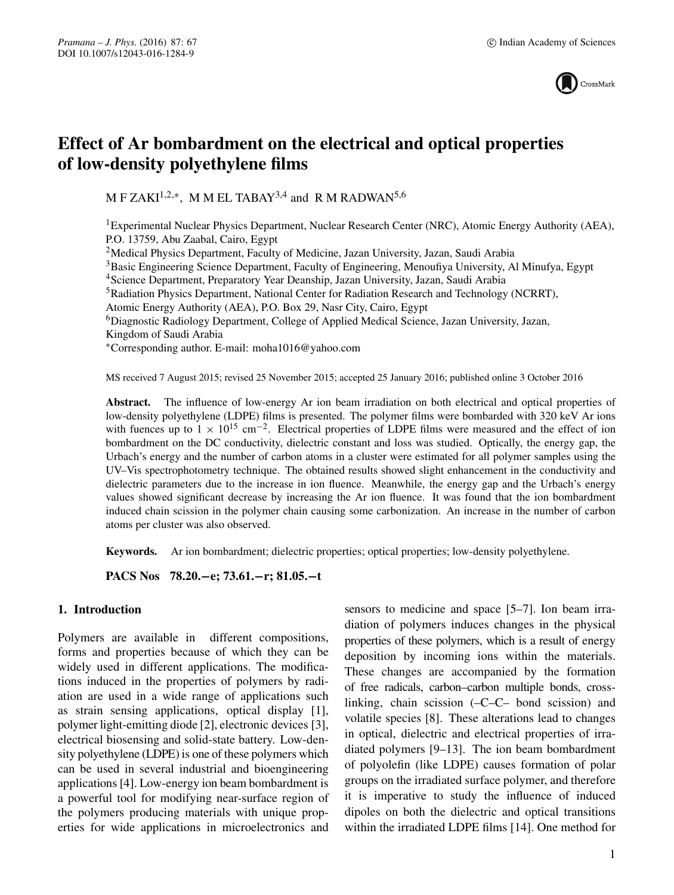

# **Effect of Ar bombardment on the electrical and optical properties of low-density polyethylene films**

M F ZAKI<sup>1,2,\*</sup>, M M EL TABAY<sup>3,4</sup> and R M RADWAN<sup>5,6</sup>

<sup>1</sup> Experimental Nuclear Physics Department, Nuclear Research Center (NRC), Atomic Energy Authority (AEA), P.O. 13759, Abu Zaabal, Cairo, Egypt

<sup>2</sup>Medical Physics Department, Faculty of Medicine, Jazan University, Jazan, Saudi Arabia

3Basic Engineering Science Department, Faculty of Engineering, Menoufiya University, Al Minufya, Egypt

4Science Department, Preparatory Year Deanship, Jazan University, Jazan, Saudi Arabia

<sup>5</sup>Radiation Physics Department, National Center for Radiation Research and Technology (NCRRT),

Atomic Energy Authority (AEA), P.O. Box 29, Nasr City, Cairo, Egypt

6Diagnostic Radiology Department, College of Applied Medical Science, Jazan University, Jazan, Kingdom of Saudi Arabia

∗Corresponding author. E-mail: moha1016@yahoo.com

MS received 7 August 2015; revised 25 November 2015; accepted 25 January 2016; published online 3 October 2016

**Abstract.** The influence of low-energy Ar ion beam irradiation on both electrical and optical properties of low-density polyethylene (LDPE) films is presented. The polymer films were bombarded with 320 keV Ar ions with fuences up to  $1 \times 10^{15}$  cm<sup>-2</sup>. Electrical properties of LDPE films were measured and the effect of ion bombardment on the DC conductivity, dielectric constant and loss was studied. Optically, the energy gap, the Urbach's energy and the number of carbon atoms in a cluster were estimated for all polymer samples using the UV–Vis spectrophotometry technique. The obtained results showed slight enhancement in the conductivity and dielectric parameters due to the increase in ion fluence. Meanwhile, the energy gap and the Urbach's energy values showed significant decrease by increasing the Ar ion fluence. It was found that the ion bombardment induced chain scission in the polymer chain causing some carbonization. An increase in the number of carbon atoms per cluster was also observed.

**Keywords.** Ar ion bombardment; dielectric properties; optical properties; low-density polyethylene.

**PACS Nos 78.20.−e; 73.61.−r; 81.05.−t**

# **1. Introduction**

Polymers are available in different compositions, forms and properties because of which they can be widely used in different applications. The modifications induced in the properties of polymers by radiation are used in a wide range of applications such as strain sensing applications, optical display [1], polymer light-emitting diode [2], electronic devices [3], electrical biosensing and solid-state battery. Low-density polyethylene (LDPE) is one of these polymers which can be used in several industrial and bioengineering applications [4]. Low-energy ion beam bombardment is a powerful tool for modifying near-surface region of the polymers producing materials with unique properties for wide applications in microelectronics and sensors to medicine and space [5–7]. Ion beam irradiation of polymers induces changes in the physical properties of these polymers, which is a result of energy deposition by incoming ions within the materials. These changes are accompanied by the formation of free radicals, carbon–carbon multiple bonds, crosslinking, chain scission (–C–C– bond scission) and volatile species [8]. These alterations lead to changes in optical, dielectric and electrical properties of irradiated polymers [9–13]. The ion beam bombardment of polyolefin (like LDPE) causes formation of polar groups on the irradiated surface polymer, and therefore it is imperative to study the influence of induced dipoles on both the dielectric and optical transitions within the irradiated LDPE films [14]. One method for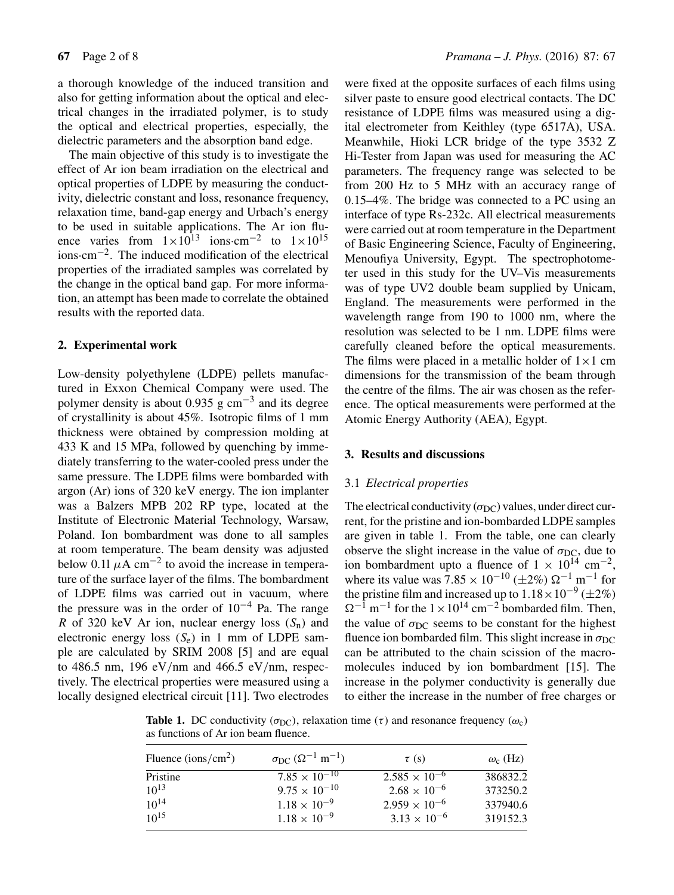a thorough knowledge of the induced transition and also for getting information about the optical and electrical changes in the irradiated polymer, is to study the optical and electrical properties, especially, the dielectric parameters and the absorption band edge.

The main objective of this study is to investigate the effect of Ar ion beam irradiation on the electrical and optical properties of LDPE by measuring the conductivity, dielectric constant and loss, resonance frequency, relaxation time, band-gap energy and Urbach's energy to be used in suitable applications. The Ar ion fluence varies from  $1 \times 10^{13}$  ions·cm<sup>-2</sup> to  $1 \times 10^{15}$ ions·cm−2. The induced modification of the electrical properties of the irradiated samples was correlated by the change in the optical band gap. For more information, an attempt has been made to correlate the obtained results with the reported data.

# **2. Experimental work**

Low-density polyethylene (LDPE) pellets manufactured in Exxon Chemical Company were used. The polymer density is about 0.935 g  $cm^{-3}$  and its degree of crystallinity is about 45%. Isotropic films of 1 mm thickness were obtained by compression molding at 433 K and 15 MPa, followed by quenching by immediately transferring to the water-cooled press under the same pressure. The LDPE films were bombarded with argon (Ar) ions of 320 keV energy. The ion implanter was a Balzers MPB 202 RP type, located at the Institute of Electronic Material Technology, Warsaw, Poland. Ion bombardment was done to all samples at room temperature. The beam density was adjusted below 0.11  $\mu$ A cm<sup>-2</sup> to avoid the increase in temperature of the surface layer of the films. The bombardment of LDPE films was carried out in vacuum, where the pressure was in the order of  $10^{-4}$  Pa. The range R of 320 keV Ar ion, nuclear energy loss  $(S_n)$  and electronic energy loss  $(S_e)$  in 1 mm of LDPE sample are calculated by SRIM 2008 [5] and are equal to 486.5 nm, 196 eV/nm and 466.5 eV/nm, respectively. The electrical properties were measured using a locally designed electrical circuit [11]. Two electrodes were fixed at the opposite surfaces of each films using silver paste to ensure good electrical contacts. The DC resistance of LDPE films was measured using a digital electrometer from Keithley (type 6517A), USA. Meanwhile, Hioki LCR bridge of the type 3532 Z Hi-Tester from Japan was used for measuring the AC parameters. The frequency range was selected to be from 200 Hz to 5 MHz with an accuracy range of 0.15–4%. The bridge was connected to a PC using an interface of type Rs-232c. All electrical measurements were carried out at room temperature in the Department of Basic Engineering Science, Faculty of Engineering, Menoufiya University, Egypt. The spectrophotometer used in this study for the UV–Vis measurements was of type UV2 double beam supplied by Unicam, England. The measurements were performed in the wavelength range from 190 to 1000 nm, where the resolution was selected to be 1 nm. LDPE films were carefully cleaned before the optical measurements. The films were placed in a metallic holder of  $1 \times 1$  cm dimensions for the transmission of the beam through the centre of the films. The air was chosen as the reference. The optical measurements were performed at the Atomic Energy Authority (AEA), Egypt.

# **3. Results and discussions**

#### 3.1 *Electrical properties*

The electrical conductivity ( $\sigma_{DC}$ ) values, under direct current, for the pristine and ion-bombarded LDPE samples are given in table 1. From the table, one can clearly observe the slight increase in the value of  $\sigma_{DC}$ , due to ion bombardment upto a fluence of  $1 \times 10^{14}$  cm<sup>-2</sup>, where its value was  $7.85 \times 10^{-10}$  (±2%)  $\Omega^{-1}$  m<sup>-1</sup> for the pristine film and increased up to  $1.18 \times 10^{-9} (\pm 2\%)$  $\Omega^{-1}$  m<sup>-1</sup> for the  $1 \times 10^{14}$  cm<sup>-2</sup> bombarded film. Then, the value of  $\sigma_{DC}$  seems to be constant for the highest fluence ion bombarded film. This slight increase in  $\sigma_{DC}$ can be attributed to the chain scission of the macromolecules induced by ion bombardment [15]. The increase in the polymer conductivity is generally due to either the increase in the number of free charges or

**Table 1.** DC conductivity ( $\sigma_{DC}$ ), relaxation time (τ) and resonance frequency ( $\omega_c$ ) as functions of Ar ion beam fluence.

| Fluence (ions/cm <sup>2</sup> ) | $\sigma_{\rm DC}$ ( $\Omega^{-1}$ m <sup>-1</sup> ) | $\tau$ (s)             | $\omega_{\rm c}$ (Hz) |
|---------------------------------|-----------------------------------------------------|------------------------|-----------------------|
| Pristine                        | $7.85 \times 10^{-10}$                              | $2.585 \times 10^{-6}$ | 386832.2              |
| $10^{13}$                       | $9.75 \times 10^{-10}$                              | $2.68 \times 10^{-6}$  | 373250.2              |
| $10^{14}$                       | $1.18 \times 10^{-9}$                               | $2.959 \times 10^{-6}$ | 337940.6              |
| $10^{15}$                       | $1.18 \times 10^{-9}$                               | $3.13 \times 10^{-6}$  | 319152.3              |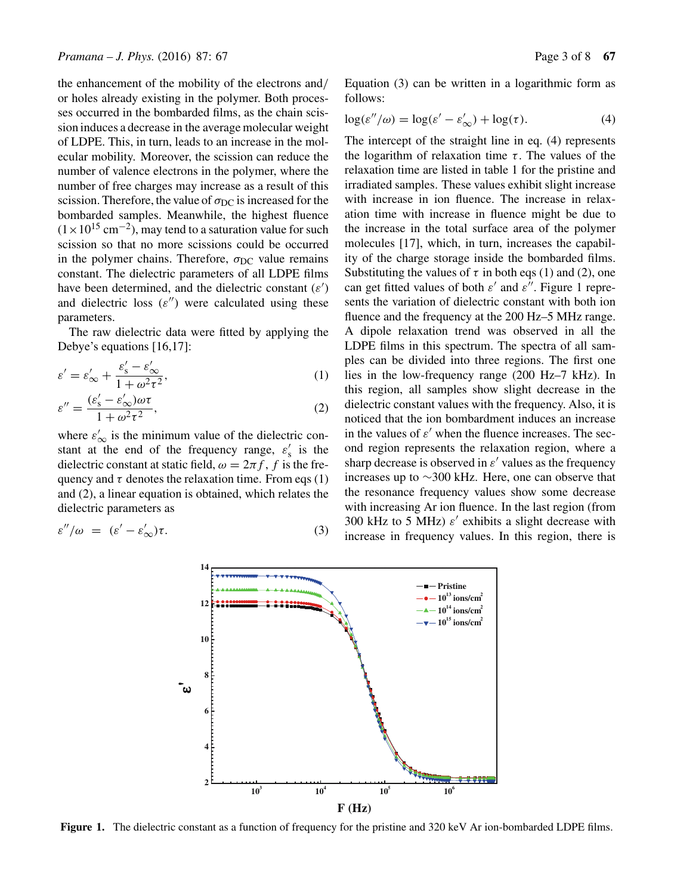the enhancement of the mobility of the electrons and/ or holes already existing in the polymer. Both processes occurred in the bombarded films, as the chain scission induces a decrease in the average molecular weight of LDPE. This, in turn, leads to an increase in the molecular mobility. Moreover, the scission can reduce the number of valence electrons in the polymer, where the number of free charges may increase as a result of this scission. Therefore, the value of  $\sigma_{DC}$  is increased for the bombarded samples. Meanwhile, the highest fluence  $(1\times10^{15} \text{ cm}^{-2})$ , may tend to a saturation value for such scission so that no more scissions could be occurred in the polymer chains. Therefore,  $\sigma_{DC}$  value remains constant. The dielectric parameters of all LDPE films have been determined, and the dielectric constant  $(\varepsilon')$ and dielectric loss  $(\varepsilon'')$  were calculated using these parameters.

The raw dielectric data were fitted by applying the Debye's equations [16,17]:

$$
\varepsilon' = \varepsilon'_{\infty} + \frac{\varepsilon'_{\rm s} - \varepsilon'_{\infty}}{1 + \omega^2 \tau^2},\tag{1}
$$

$$
\varepsilon'' = \frac{(\varepsilon_s' - \varepsilon_\infty')\omega\tau}{1 + \omega^2 \tau^2},\tag{2}
$$

where  $\varepsilon'_{\infty}$  is the minimum value of the dielectric constant at the end of the frequency range,  $\varepsilon'_{s}$  is the dielectric constant at static field,  $\omega = 2\pi f$ , f is the frequency and  $\tau$  denotes the relaxation time. From eqs (1) and (2), a linear equation is obtained, which relates the dielectric parameters as

$$
\varepsilon''/\omega = (\varepsilon' - \varepsilon_{\infty}')\tau. \tag{3}
$$

Equation (3) can be written in a logarithmic form as follows:

$$
\log(\varepsilon''/\omega) = \log(\varepsilon' - \varepsilon'_{\infty}) + \log(\tau). \tag{4}
$$

The intercept of the straight line in eq. (4) represents the logarithm of relaxation time  $\tau$ . The values of the relaxation time are listed in table 1 for the pristine and irradiated samples. These values exhibit slight increase with increase in ion fluence. The increase in relaxation time with increase in fluence might be due to the increase in the total surface area of the polymer molecules [17], which, in turn, increases the capability of the charge storage inside the bombarded films. Substituting the values of  $\tau$  in both eqs (1) and (2), one can get fitted values of both  $\varepsilon'$  and  $\varepsilon''$ . Figure 1 represents the variation of dielectric constant with both ion fluence and the frequency at the 200 Hz–5 MHz range. A dipole relaxation trend was observed in all the LDPE films in this spectrum. The spectra of all samples can be divided into three regions. The first one lies in the low-frequency range (200 Hz–7 kHz). In this region, all samples show slight decrease in the dielectric constant values with the frequency. Also, it is noticed that the ion bombardment induces an increase in the values of  $\varepsilon'$  when the fluence increases. The second region represents the relaxation region, where a sharp decrease is observed in  $\varepsilon'$  values as the frequency increases up to ∼300 kHz. Here, one can observe that the resonance frequency values show some decrease with increasing Ar ion fluence. In the last region (from 300 kHz to 5 MHz)  $\varepsilon'$  exhibits a slight decrease with increase in frequency values. In this region, there is



**Figure 1.** The dielectric constant as a function of frequency for the pristine and 320 keV Ar ion-bombarded LDPE films.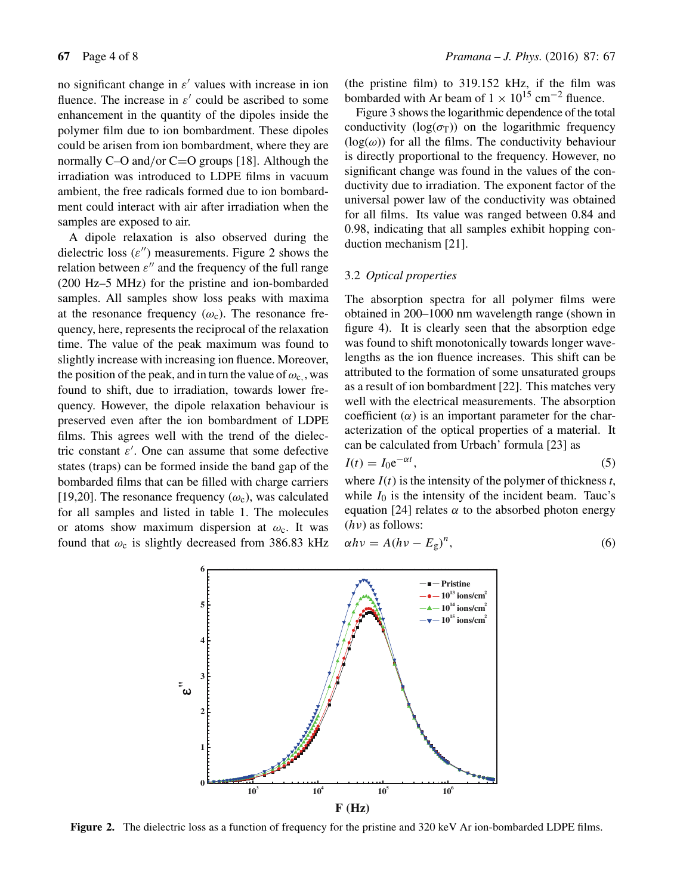no significant change in  $\varepsilon'$  values with increase in ion fluence. The increase in  $\varepsilon'$  could be ascribed to some enhancement in the quantity of the dipoles inside the polymer film due to ion bombardment. These dipoles could be arisen from ion bombardment, where they are normally  $C$ –O and/or  $C$ =O groups [18]. Although the irradiation was introduced to LDPE films in vacuum ambient, the free radicals formed due to ion bombardment could interact with air after irradiation when the samples are exposed to air.

A dipole relaxation is also observed during the dielectric loss  $(\varepsilon'')$  measurements. Figure 2 shows the relation between  $\varepsilon''$  and the frequency of the full range (200 Hz–5 MHz) for the pristine and ion-bombarded samples. All samples show loss peaks with maxima at the resonance frequency  $(\omega_c)$ . The resonance frequency, here, represents the reciprocal of the relaxation time. The value of the peak maximum was found to slightly increase with increasing ion fluence. Moreover, the position of the peak, and in turn the value of  $\omega_c$ , was found to shift, due to irradiation, towards lower frequency. However, the dipole relaxation behaviour is preserved even after the ion bombardment of LDPE films. This agrees well with the trend of the dielectric constant  $\varepsilon'$ . One can assume that some defective states (traps) can be formed inside the band gap of the bombarded films that can be filled with charge carriers [19,20]. The resonance frequency  $(\omega_c)$ , was calculated for all samples and listed in table 1. The molecules or atoms show maximum dispersion at  $\omega_c$ . It was found that  $\omega_c$  is slightly decreased from 386.83 kHz (the pristine film) to 319.152 kHz, if the film was bombarded with Ar beam of  $1 \times 10^{15}$  cm<sup>-2</sup> fluence.

Figure 3 shows the logarithmic dependence of the total conductivity ( $log(\sigma_T)$ ) on the logarithmic frequency  $(log(\omega))$  for all the films. The conductivity behaviour is directly proportional to the frequency. However, no significant change was found in the values of the conductivity due to irradiation. The exponent factor of the universal power law of the conductivity was obtained for all films. Its value was ranged between 0.84 and 0.98, indicating that all samples exhibit hopping conduction mechanism [21].

# 3.2 *Optical properties*

The absorption spectra for all polymer films were obtained in 200–1000 nm wavelength range (shown in figure 4). It is clearly seen that the absorption edge was found to shift monotonically towards longer wavelengths as the ion fluence increases. This shift can be attributed to the formation of some unsaturated groups as a result of ion bombardment [22]. This matches very well with the electrical measurements. The absorption coefficient  $(\alpha)$  is an important parameter for the characterization of the optical properties of a material. It can be calculated from Urbach' formula [23] as

$$
I(t) = I_0 e^{-\alpha t},\tag{5}
$$

where  $I(t)$  is the intensity of the polymer of thickness  $t$ , while  $I_0$  is the intensity of the incident beam. Tauc's equation [24] relates  $\alpha$  to the absorbed photon energy  $(h\nu)$  as follows:

$$
\alpha h v = A (h v - E_g)^n, \tag{6}
$$



**Figure 2.** The dielectric loss as a function of frequency for the pristine and 320 keV Ar ion-bombarded LDPE films.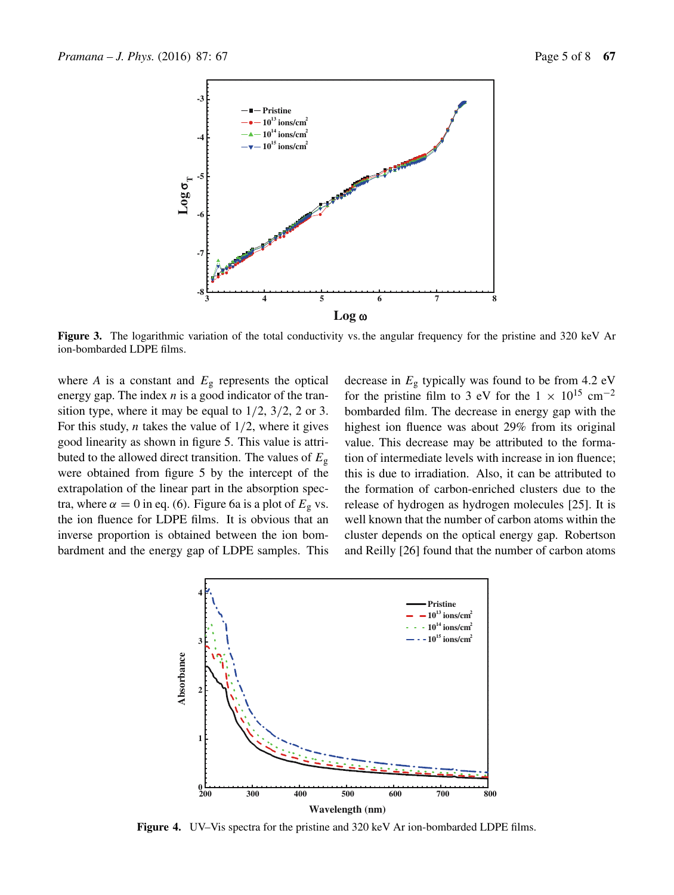

**Figure 3.** The logarithmic variation of the total conductivity vs. the angular frequency for the pristine and 320 keV Ar ion-bombarded LDPE films.

where *A* is a constant and  $E<sub>g</sub>$  represents the optical energy gap. The index  $n$  is a good indicator of the transition type, where it may be equal to  $1/2$ ,  $3/2$ , 2 or 3. For this study, *n* takes the value of  $1/2$ , where it gives good linearity as shown in figure 5. This value is attributed to the allowed direct transition. The values of  $E_g$ were obtained from figure 5 by the intercept of the extrapolation of the linear part in the absorption spectra, where  $\alpha = 0$  in eq. (6). Figure 6a is a plot of  $E<sub>g</sub>$  vs. the ion fluence for LDPE films. It is obvious that an inverse proportion is obtained between the ion bombardment and the energy gap of LDPE samples. This decrease in  $E<sub>g</sub>$  typically was found to be from 4.2 eV for the pristine film to 3 eV for the  $1 \times 10^{15}$  cm<sup>-2</sup> bombarded film. The decrease in energy gap with the highest ion fluence was about 29% from its original value. This decrease may be attributed to the formation of intermediate levels with increase in ion fluence; this is due to irradiation. Also, it can be attributed to the formation of carbon-enriched clusters due to the release of hydrogen as hydrogen molecules [25]. It is well known that the number of carbon atoms within the cluster depends on the optical energy gap. Robertson and Reilly [26] found that the number of carbon atoms



**Figure 4.** UV–Vis spectra for the pristine and 320 keV Ar ion-bombarded LDPE films.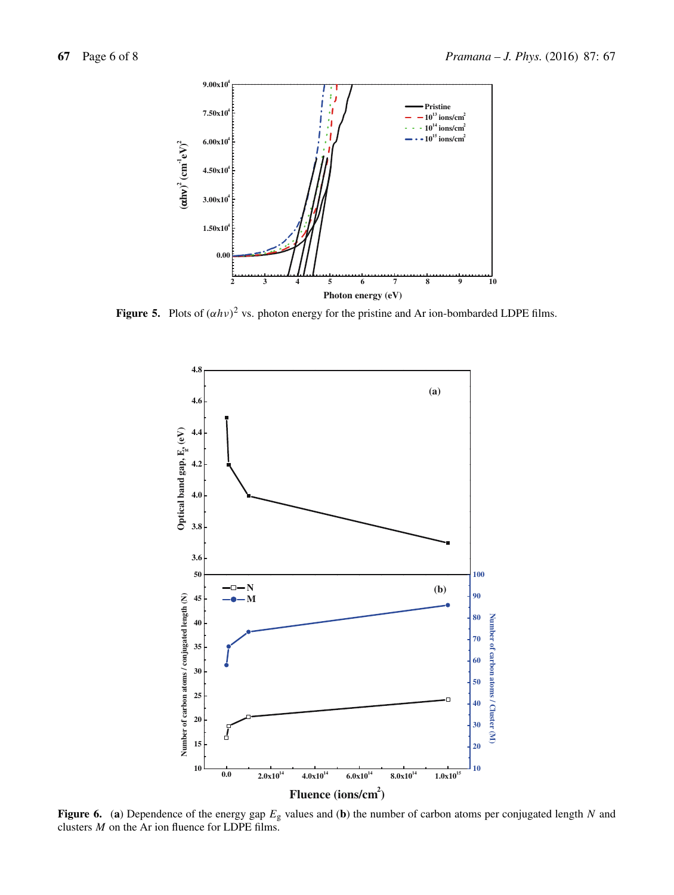

**Figure 5.** Plots of  $(\alpha h \nu)^2$  vs. photon energy for the pristine and Ar ion-bombarded LDPE films.



**Figure 6.** (a) Dependence of the energy gap  $E<sub>g</sub>$  values and (b) the number of carbon atoms per conjugated length N and clusters  $M$  on the Ar ion fluence for LDPE films.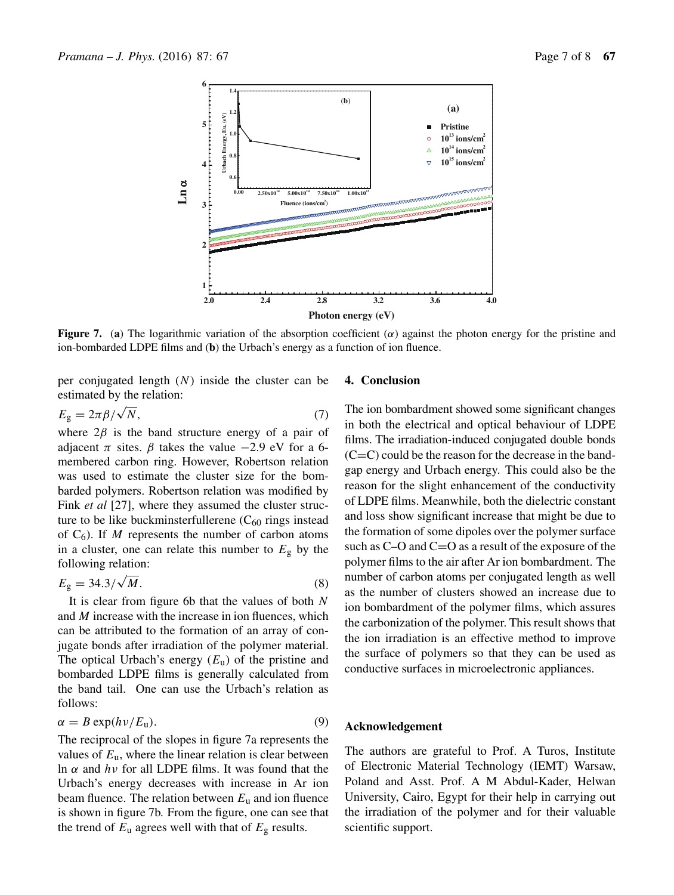

**Figure 7.** (a) The logarithmic variation of the absorption coefficient  $(\alpha)$  against the photon energy for the pristine and ion-bombarded LDPE films and (**b**) the Urbach's energy as a function of ion fluence.

per conjugated length  $(N)$  inside the cluster can be estimated by the relation:

$$
E_{\rm g} = 2\pi \beta / \sqrt{N},\tag{7}
$$

where  $2\beta$  is the band structure energy of a pair of adjacent  $\pi$  sites.  $\beta$  takes the value −2.9 eV for a 6membered carbon ring. However, Robertson relation was used to estimate the cluster size for the bombarded polymers. Robertson relation was modified by Fink *et al* [27], where they assumed the cluster structure to be like buckminsterfullerene  $(C_{60}$  rings instead of  $C_6$ ). If M represents the number of carbon atoms in a cluster, one can relate this number to  $E_{\rm g}$  by the following relation:

$$
E_{\rm g} = 34.3/\sqrt{M}.\tag{8}
$$

It is clear from figure 6b that the values of both  $N$ and M increase with the increase in ion fluences, which can be attributed to the formation of an array of conjugate bonds after irradiation of the polymer material. The optical Urbach's energy  $(E_u)$  of the pristine and bombarded LDPE films is generally calculated from the band tail. One can use the Urbach's relation as follows:

$$
\alpha = B \exp(h\nu/E_{\rm u}).\tag{9}
$$

The reciprocal of the slopes in figure 7a represents the values of  $E_u$ , where the linear relation is clear between ln α and  $hν$  for all LDPE films. It was found that the Urbach's energy decreases with increase in Ar ion beam fluence. The relation between  $E<sub>u</sub>$  and ion fluence is shown in figure 7b. From the figure, one can see that the trend of  $E_u$  agrees well with that of  $E_g$  results.

# **4. Conclusion**

The ion bombardment showed some significant changes in both the electrical and optical behaviour of LDPE films. The irradiation-induced conjugated double bonds  $(C=C)$  could be the reason for the decrease in the bandgap energy and Urbach energy. This could also be the reason for the slight enhancement of the conductivity of LDPE films. Meanwhile, both the dielectric constant and loss show significant increase that might be due to the formation of some dipoles over the polymer surface such as C–O and C=O as a result of the exposure of the polymer films to the air after Ar ion bombardment. The number of carbon atoms per conjugated length as well as the number of clusters showed an increase due to ion bombardment of the polymer films, which assures the carbonization of the polymer. This result shows that the ion irradiation is an effective method to improve the surface of polymers so that they can be used as conductive surfaces in microelectronic appliances.

## **Acknowledgement**

The authors are grateful to Prof. A Turos, Institute of Electronic Material Technology (IEMT) Warsaw, Poland and Asst. Prof. A M Abdul-Kader, Helwan University, Cairo, Egypt for their help in carrying out the irradiation of the polymer and for their valuable scientific support.